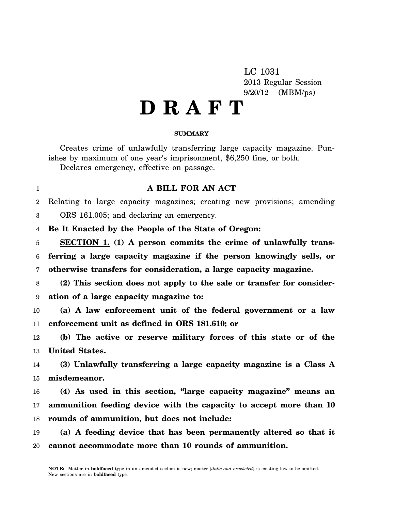LC 1031 2013 Regular Session 9/20/12 (MBM/ps)

## **D R A F T**

## **SUMMARY**

Creates crime of unlawfully transferring large capacity magazine. Punishes by maximum of one year's imprisonment, \$6,250 fine, or both. Declares emergency, effective on passage.

**A BILL FOR AN ACT**

 $\mathfrak{D}$ 3 Relating to large capacity magazines; creating new provisions; amending ORS 161.005; and declaring an emergency.

4 **Be It Enacted by the People of the State of Oregon:**

1

5 6 7 **SECTION 1. (1) A person commits the crime of unlawfully transferring a large capacity magazine if the person knowingly sells, or otherwise transfers for consideration, a large capacity magazine.**

8 9 **(2) This section does not apply to the sale or transfer for consideration of a large capacity magazine to:**

10 11 **(a) A law enforcement unit of the federal government or a law enforcement unit as defined in ORS 181.610; or**

12 13 **(b) The active or reserve military forces of this state or of the United States.**

14 15 **(3) Unlawfully transferring a large capacity magazine is a Class A misdemeanor.**

16 17 18 **(4) As used in this section, "large capacity magazine" means an ammunition feeding device with the capacity to accept more than 10 rounds of ammunition, but does not include:**

19 20 **(a) A feeding device that has been permanently altered so that it cannot accommodate more than 10 rounds of ammunition.**